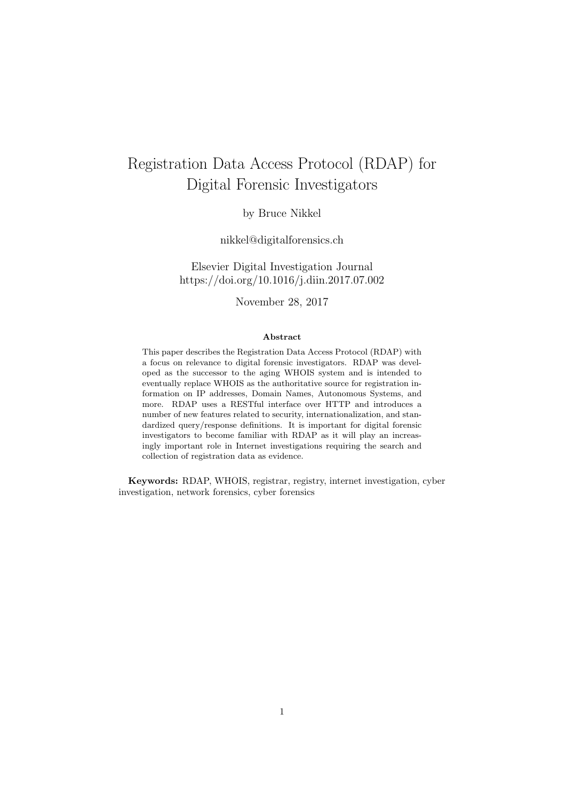# Registration Data Access Protocol (RDAP) for Digital Forensic Investigators

by Bruce Nikkel

nikkel@digitalforensics.ch

Elsevier Digital Investigation Journal https://doi.org/10.1016/j.diin.2017.07.002

November 28, 2017

#### Abstract

This paper describes the Registration Data Access Protocol (RDAP) with a focus on relevance to digital forensic investigators. RDAP was developed as the successor to the aging WHOIS system and is intended to eventually replace WHOIS as the authoritative source for registration information on IP addresses, Domain Names, Autonomous Systems, and more. RDAP uses a RESTful interface over HTTP and introduces a number of new features related to security, internationalization, and standardized query/response definitions. It is important for digital forensic investigators to become familiar with RDAP as it will play an increasingly important role in Internet investigations requiring the search and collection of registration data as evidence.

Keywords: RDAP, WHOIS, registrar, registry, internet investigation, cyber investigation, network forensics, cyber forensics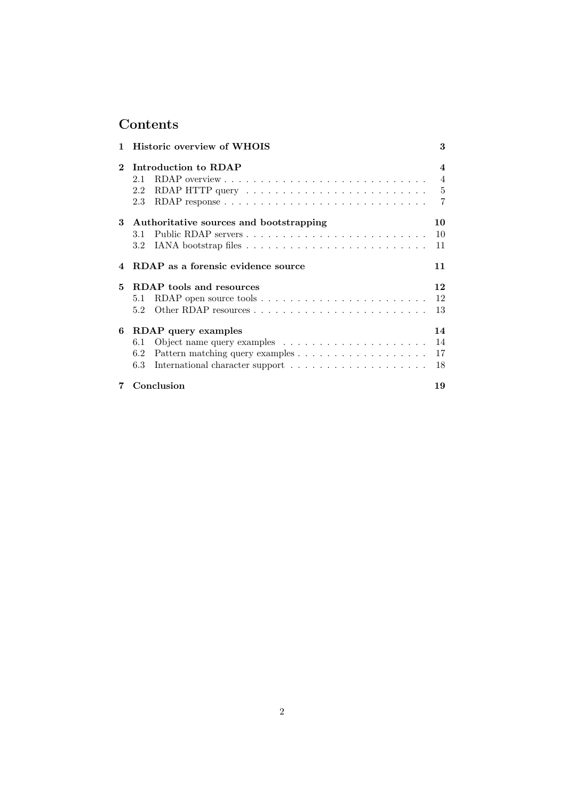# Contents

| 1.           | <b>Historic overview of WHOIS</b>                                                          | 3                       |
|--------------|--------------------------------------------------------------------------------------------|-------------------------|
| $\mathbf{2}$ | Introduction to RDAP                                                                       | $\overline{\mathbf{4}}$ |
|              | 2.1                                                                                        | $\overline{4}$          |
|              | RDAP HTTP query $\dots \dots \dots \dots \dots \dots \dots \dots \dots \dots \dots$<br>2.2 |                         |
|              | 2.3                                                                                        | $\overline{7}$          |
|              | 3 Authoritative sources and bootstrapping                                                  | 10                      |
|              | 3.1                                                                                        | 10                      |
|              |                                                                                            | 11                      |
| 4            | RDAP as a forensic evidence source                                                         | 11                      |
| 5            | <b>RDAP</b> tools and resources                                                            | 12                      |
|              | 5.1                                                                                        | 12                      |
|              | 5.2                                                                                        | 13                      |
|              | 6 RDAP query examples                                                                      | 14                      |
|              | $6.1\,$                                                                                    | 14                      |
|              | 6.2                                                                                        | 17                      |
|              | 6.3                                                                                        | 18                      |
| 7            | Conclusion                                                                                 | 19                      |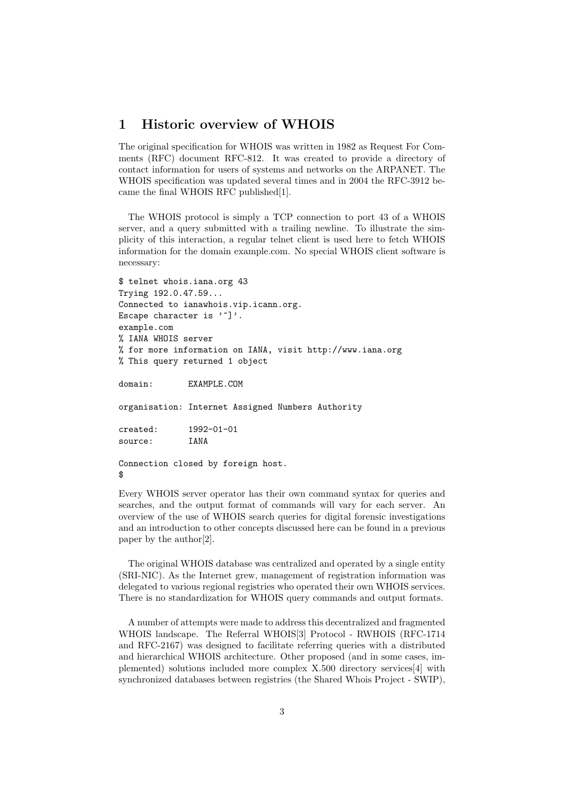## 1 Historic overview of WHOIS

The original specification for WHOIS was written in 1982 as Request For Comments (RFC) document RFC-812. It was created to provide a directory of contact information for users of systems and networks on the ARPANET. The WHOIS specification was updated several times and in 2004 the RFC-3912 became the final WHOIS RFC published[1].

The WHOIS protocol is simply a TCP connection to port 43 of a WHOIS server, and a query submitted with a trailing newline. To illustrate the simplicity of this interaction, a regular telnet client is used here to fetch WHOIS information for the domain example.com. No special WHOIS client software is necessary:

```
$ telnet whois.iana.org 43
Trying 192.0.47.59...
Connected to ianawhois.vip.icann.org.
Escape character is ']'.
example.com
% IANA WHOIS server
% for more information on IANA, visit http://www.iana.org
% This query returned 1 object
domain: EXAMPLE.COM
organisation: Internet Assigned Numbers Authority
created: 1992-01-01
source: IANA
Connection closed by foreign host.
$
```
Every WHOIS server operator has their own command syntax for queries and searches, and the output format of commands will vary for each server. An overview of the use of WHOIS search queries for digital forensic investigations and an introduction to other concepts discussed here can be found in a previous paper by the author[2].

The original WHOIS database was centralized and operated by a single entity (SRI-NIC). As the Internet grew, management of registration information was delegated to various regional registries who operated their own WHOIS services. There is no standardization for WHOIS query commands and output formats.

A number of attempts were made to address this decentralized and fragmented WHOIS landscape. The Referral WHOIS[3] Protocol - RWHOIS (RFC-1714 and RFC-2167) was designed to facilitate referring queries with a distributed and hierarchical WHOIS architecture. Other proposed (and in some cases, implemented) solutions included more complex X.500 directory services[4] with synchronized databases between registries (the Shared Whois Project - SWIP),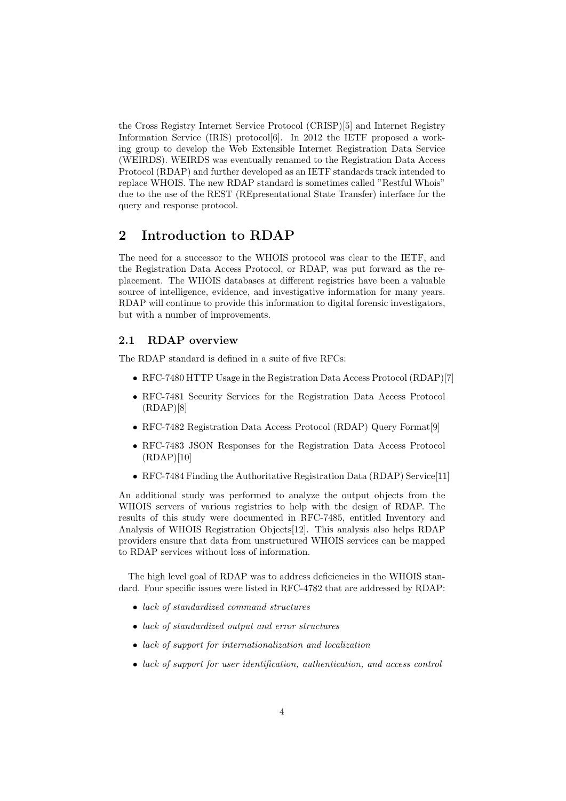the Cross Registry Internet Service Protocol (CRISP)[5] and Internet Registry Information Service (IRIS) protocol<sup>[6]</sup>. In 2012 the IETF proposed a working group to develop the Web Extensible Internet Registration Data Service (WEIRDS). WEIRDS was eventually renamed to the Registration Data Access Protocol (RDAP) and further developed as an IETF standards track intended to replace WHOIS. The new RDAP standard is sometimes called "Restful Whois" due to the use of the REST (REpresentational State Transfer) interface for the query and response protocol.

# 2 Introduction to RDAP

The need for a successor to the WHOIS protocol was clear to the IETF, and the Registration Data Access Protocol, or RDAP, was put forward as the replacement. The WHOIS databases at different registries have been a valuable source of intelligence, evidence, and investigative information for many years. RDAP will continue to provide this information to digital forensic investigators, but with a number of improvements.

#### 2.1 RDAP overview

The RDAP standard is defined in a suite of five RFCs:

- RFC-7480 HTTP Usage in the Registration Data Access Protocol (RDAP)[7]
- RFC-7481 Security Services for the Registration Data Access Protocol  $(RDAP)[8]$
- RFC-7482 Registration Data Access Protocol (RDAP) Query Format[9]
- RFC-7483 JSON Responses for the Registration Data Access Protocol (RDAP)[10]
- RFC-7484 Finding the Authoritative Registration Data (RDAP) Service [11]

An additional study was performed to analyze the output objects from the WHOIS servers of various registries to help with the design of RDAP. The results of this study were documented in RFC-7485, entitled Inventory and Analysis of WHOIS Registration Objects[12]. This analysis also helps RDAP providers ensure that data from unstructured WHOIS services can be mapped to RDAP services without loss of information.

The high level goal of RDAP was to address deficiencies in the WHOIS standard. Four specific issues were listed in RFC-4782 that are addressed by RDAP:

- lack of standardized command structures
- lack of standardized output and error structures
- lack of support for internationalization and localization
- lack of support for user identification, authentication, and access control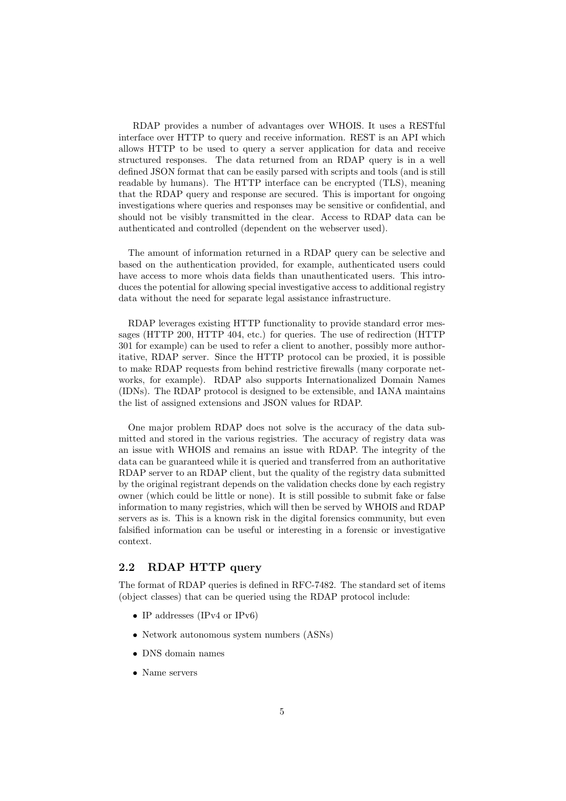RDAP provides a number of advantages over WHOIS. It uses a RESTful interface over HTTP to query and receive information. REST is an API which allows HTTP to be used to query a server application for data and receive structured responses. The data returned from an RDAP query is in a well defined JSON format that can be easily parsed with scripts and tools (and is still readable by humans). The HTTP interface can be encrypted (TLS), meaning that the RDAP query and response are secured. This is important for ongoing investigations where queries and responses may be sensitive or confidential, and should not be visibly transmitted in the clear. Access to RDAP data can be authenticated and controlled (dependent on the webserver used).

The amount of information returned in a RDAP query can be selective and based on the authentication provided, for example, authenticated users could have access to more whois data fields than unauthenticated users. This introduces the potential for allowing special investigative access to additional registry data without the need for separate legal assistance infrastructure.

RDAP leverages existing HTTP functionality to provide standard error messages (HTTP 200, HTTP 404, etc.) for queries. The use of redirection (HTTP 301 for example) can be used to refer a client to another, possibly more authoritative, RDAP server. Since the HTTP protocol can be proxied, it is possible to make RDAP requests from behind restrictive firewalls (many corporate networks, for example). RDAP also supports Internationalized Domain Names (IDNs). The RDAP protocol is designed to be extensible, and IANA maintains the list of assigned extensions and JSON values for RDAP.

One major problem RDAP does not solve is the accuracy of the data submitted and stored in the various registries. The accuracy of registry data was an issue with WHOIS and remains an issue with RDAP. The integrity of the data can be guaranteed while it is queried and transferred from an authoritative RDAP server to an RDAP client, but the quality of the registry data submitted by the original registrant depends on the validation checks done by each registry owner (which could be little or none). It is still possible to submit fake or false information to many registries, which will then be served by WHOIS and RDAP servers as is. This is a known risk in the digital forensics community, but even falsified information can be useful or interesting in a forensic or investigative context.

### 2.2 RDAP HTTP query

The format of RDAP queries is defined in RFC-7482. The standard set of items (object classes) that can be queried using the RDAP protocol include:

- IP addresses (IPv4 or IPv6)
- Network autonomous system numbers (ASNs)
- DNS domain names
- Name servers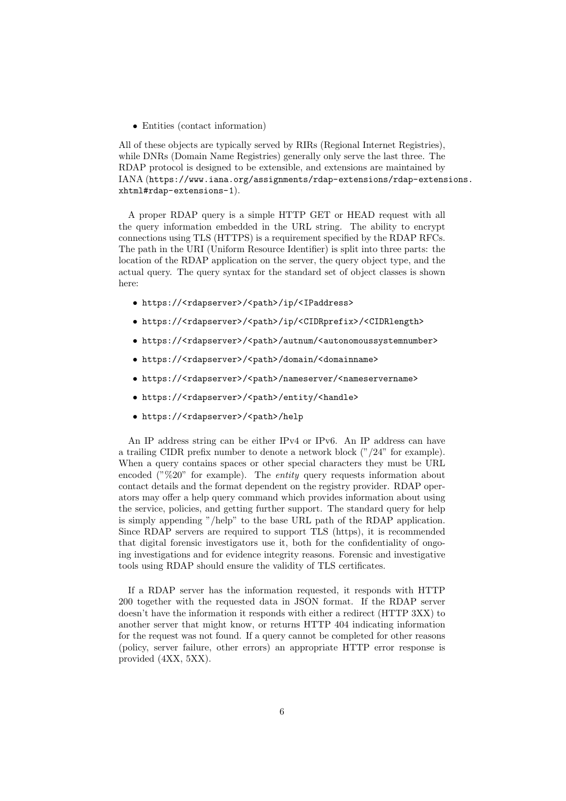• Entities (contact information)

All of these objects are typically served by RIRs (Regional Internet Registries), while DNRs (Domain Name Registries) generally only serve the last three. The RDAP protocol is designed to be extensible, and extensions are maintained by IANA (https://www.iana.org/assignments/rdap-extensions/rdap-extensions. xhtml#rdap-extensions-1).

A proper RDAP query is a simple HTTP GET or HEAD request with all the query information embedded in the URL string. The ability to encrypt connections using TLS (HTTPS) is a requirement specified by the RDAP RFCs. The path in the URI (Uniform Resource Identifier) is split into three parts: the location of the RDAP application on the server, the query object type, and the actual query. The query syntax for the standard set of object classes is shown here:

- https://<rdapserver>/<path>/ip/<IPaddress>
- https://<rdapserver>/<path>/ip/<CIDRprefix>/<CIDRlength>
- https://<rdapserver>/<path>/autnum/<autonomoussystemnumber>
- https://<rdapserver>/<path>/domain/<domainname>
- https://<rdapserver>/<path>/nameserver/<nameservername>
- https://<rdapserver>/<path>/entity/<handle>
- https://<rdapserver>/<path>/help

An IP address string can be either IPv4 or IPv6. An IP address can have a trailing CIDR prefix number to denote a network block ("/24" for example). When a query contains spaces or other special characters they must be URL encoded ( $\sqrt[10]{20}$ " for example). The *entity* query requests information about contact details and the format dependent on the registry provider. RDAP operators may offer a help query command which provides information about using the service, policies, and getting further support. The standard query for help is simply appending "/help" to the base URL path of the RDAP application. Since RDAP servers are required to support TLS (https), it is recommended that digital forensic investigators use it, both for the confidentiality of ongoing investigations and for evidence integrity reasons. Forensic and investigative tools using RDAP should ensure the validity of TLS certificates.

If a RDAP server has the information requested, it responds with HTTP 200 together with the requested data in JSON format. If the RDAP server doesn't have the information it responds with either a redirect (HTTP 3XX) to another server that might know, or returns HTTP 404 indicating information for the request was not found. If a query cannot be completed for other reasons (policy, server failure, other errors) an appropriate HTTP error response is provided (4XX, 5XX).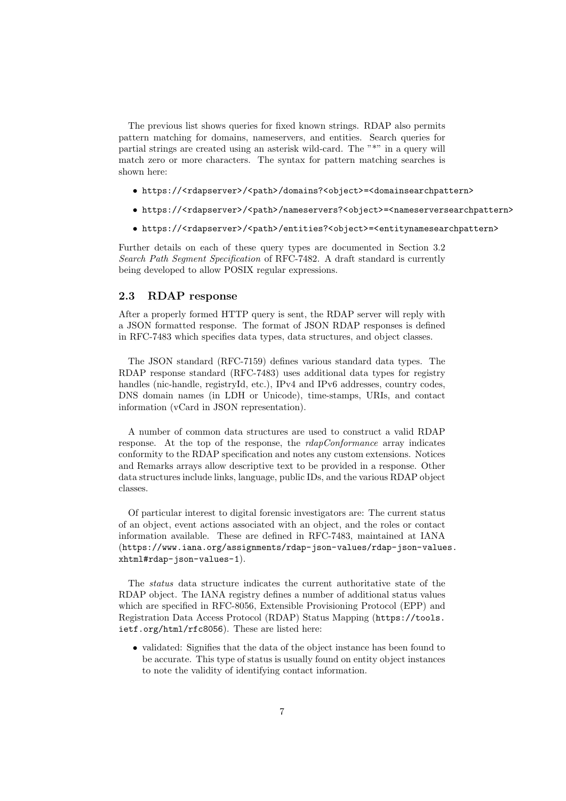The previous list shows queries for fixed known strings. RDAP also permits pattern matching for domains, nameservers, and entities. Search queries for partial strings are created using an asterisk wild-card. The "\*" in a query will match zero or more characters. The syntax for pattern matching searches is shown here:

- https://<rdapserver>/<path>/domains?<object>=<domainsearchpattern>
- https://<rdapserver>/<path>/nameservers?<object>=<nameserversearchpattern>
- https://<rdapserver>/<path>/entities?<object>=<entitynamesearchpattern>

Further details on each of these query types are documented in Section 3.2 Search Path Segment Specification of RFC-7482. A draft standard is currently being developed to allow POSIX regular expressions.

#### 2.3 RDAP response

After a properly formed HTTP query is sent, the RDAP server will reply with a JSON formatted response. The format of JSON RDAP responses is defined in RFC-7483 which specifies data types, data structures, and object classes.

The JSON standard (RFC-7159) defines various standard data types. The RDAP response standard (RFC-7483) uses additional data types for registry handles (nic-handle, registryId, etc.), IPv4 and IPv6 addresses, country codes, DNS domain names (in LDH or Unicode), time-stamps, URIs, and contact information (vCard in JSON representation).

A number of common data structures are used to construct a valid RDAP response. At the top of the response, the rdapConformance array indicates conformity to the RDAP specification and notes any custom extensions. Notices and Remarks arrays allow descriptive text to be provided in a response. Other data structures include links, language, public IDs, and the various RDAP object classes.

Of particular interest to digital forensic investigators are: The current status of an object, event actions associated with an object, and the roles or contact information available. These are defined in RFC-7483, maintained at IANA (https://www.iana.org/assignments/rdap-json-values/rdap-json-values. xhtml#rdap-json-values-1).

The status data structure indicates the current authoritative state of the RDAP object. The IANA registry defines a number of additional status values which are specified in RFC-8056, Extensible Provisioning Protocol (EPP) and Registration Data Access Protocol (RDAP) Status Mapping (https://tools. ietf.org/html/rfc8056). These are listed here:

• validated: Signifies that the data of the object instance has been found to be accurate. This type of status is usually found on entity object instances to note the validity of identifying contact information.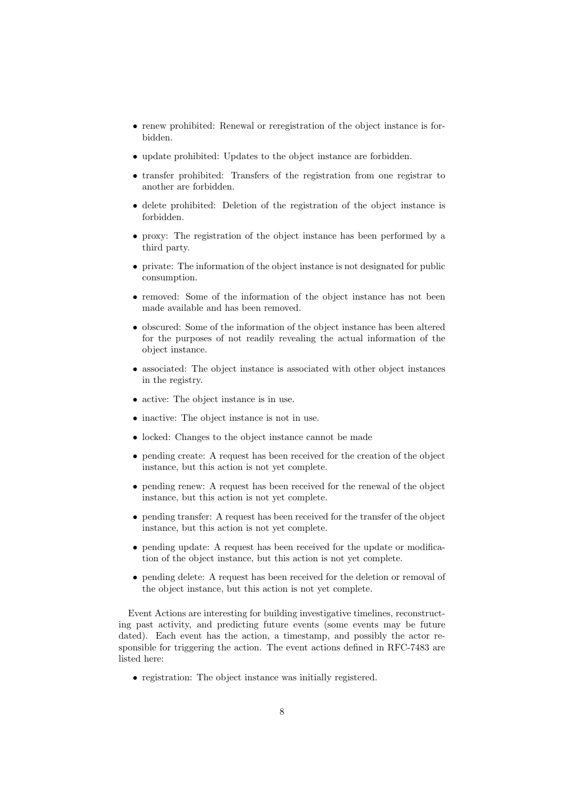- renew prohibited: Renewal or reregistration of the object instance is forbidden.
- update prohibited: Updates to the object instance are forbidden.
- transfer prohibited: Transfers of the registration from one registrar to another are forbidden.
- delete prohibited: Deletion of the registration of the object instance is forbidden.
- proxy: The registration of the object instance has been performed by a third party.
- private: The information of the object instance is not designated for public consumption.
- removed: Some of the information of the object instance has not been made available and has been removed.
- obscured: Some of the information of the object instance has been altered for the purposes of not readily revealing the actual information of the object instance.
- associated: The object instance is associated with other object instances in the registry.
- active: The object instance is in use.
- inactive: The object instance is not in use.
- locked: Changes to the object instance cannot be made
- pending create: A request has been received for the creation of the object instance, but this action is not yet complete.
- pending renew: A request has been received for the renewal of the object instance, but this action is not yet complete.
- pending transfer: A request has been received for the transfer of the object instance, but this action is not yet complete.
- pending update: A request has been received for the update or modification of the object instance, but this action is not yet complete.
- pending delete: A request has been received for the deletion or removal of the object instance, but this action is not yet complete.

Event Actions are interesting for building investigative timelines, reconstructing past activity, and predicting future events (some events may be future dated). Each event has the action, a timestamp, and possibly the actor responsible for triggering the action. The event actions defined in RFC-7483 are listed here:

• registration: The object instance was initially registered.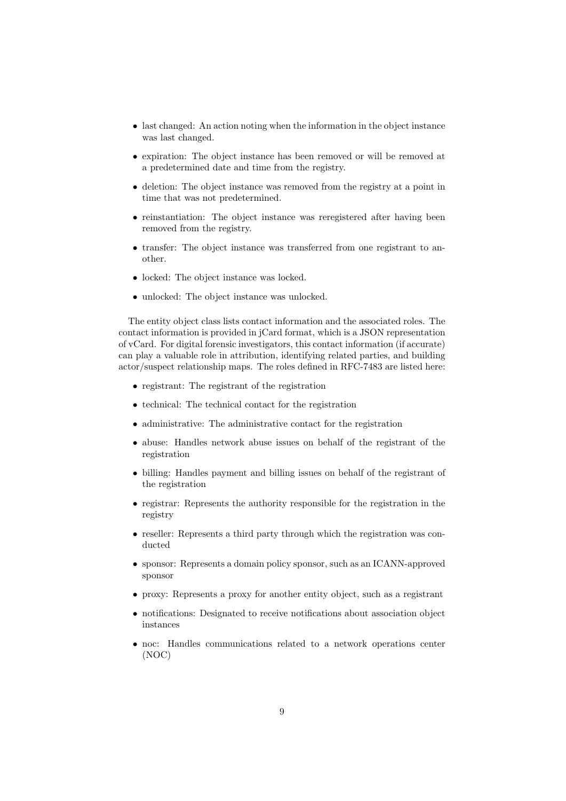- last changed: An action noting when the information in the object instance was last changed.
- expiration: The object instance has been removed or will be removed at a predetermined date and time from the registry.
- deletion: The object instance was removed from the registry at a point in time that was not predetermined.
- reinstantiation: The object instance was reregistered after having been removed from the registry.
- transfer: The object instance was transferred from one registrant to another.
- locked: The object instance was locked.
- unlocked: The object instance was unlocked.

The entity object class lists contact information and the associated roles. The contact information is provided in jCard format, which is a JSON representation of vCard. For digital forensic investigators, this contact information (if accurate) can play a valuable role in attribution, identifying related parties, and building actor/suspect relationship maps. The roles defined in RFC-7483 are listed here:

- registrant: The registrant of the registration
- technical: The technical contact for the registration
- administrative: The administrative contact for the registration
- abuse: Handles network abuse issues on behalf of the registrant of the registration
- billing: Handles payment and billing issues on behalf of the registrant of the registration
- registrar: Represents the authority responsible for the registration in the registry
- reseller: Represents a third party through which the registration was conducted
- sponsor: Represents a domain policy sponsor, such as an ICANN-approved sponsor
- proxy: Represents a proxy for another entity object, such as a registrant
- notifications: Designated to receive notifications about association object instances
- noc: Handles communications related to a network operations center (NOC)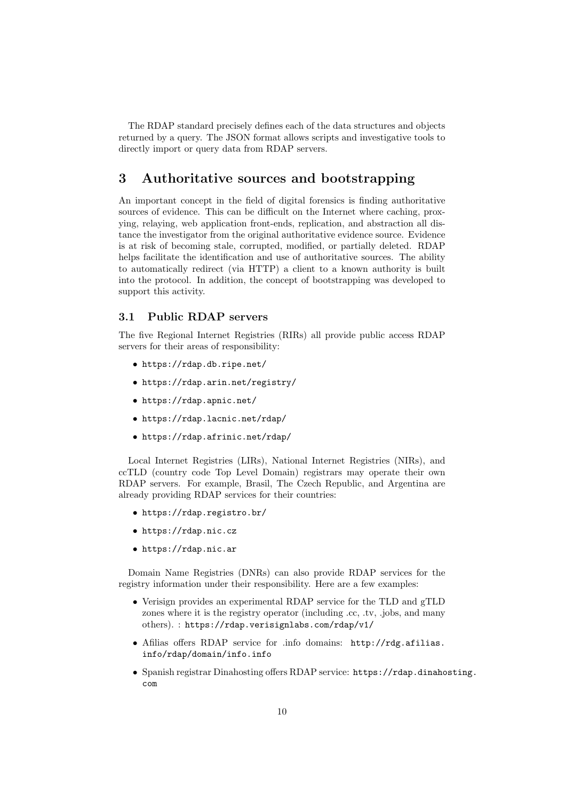The RDAP standard precisely defines each of the data structures and objects returned by a query. The JSON format allows scripts and investigative tools to directly import or query data from RDAP servers.

## 3 Authoritative sources and bootstrapping

An important concept in the field of digital forensics is finding authoritative sources of evidence. This can be difficult on the Internet where caching, proxying, relaying, web application front-ends, replication, and abstraction all distance the investigator from the original authoritative evidence source. Evidence is at risk of becoming stale, corrupted, modified, or partially deleted. RDAP helps facilitate the identification and use of authoritative sources. The ability to automatically redirect (via HTTP) a client to a known authority is built into the protocol. In addition, the concept of bootstrapping was developed to support this activity.

#### 3.1 Public RDAP servers

The five Regional Internet Registries (RIRs) all provide public access RDAP servers for their areas of responsibility:

- https://rdap.db.ripe.net/
- https://rdap.arin.net/registry/
- https://rdap.apnic.net/
- https://rdap.lacnic.net/rdap/
- https://rdap.afrinic.net/rdap/

Local Internet Registries (LIRs), National Internet Registries (NIRs), and ccTLD (country code Top Level Domain) registrars may operate their own RDAP servers. For example, Brasil, The Czech Republic, and Argentina are already providing RDAP services for their countries:

- https://rdap.registro.br/
- https://rdap.nic.cz
- https://rdap.nic.ar

Domain Name Registries (DNRs) can also provide RDAP services for the registry information under their responsibility. Here are a few examples:

- Verisign provides an experimental RDAP service for the TLD and gTLD zones where it is the registry operator (including .cc, .tv, .jobs, and many others). : https://rdap.verisignlabs.com/rdap/v1/
- Afilias offers RDAP service for .info domains: http://rdg.afilias. info/rdap/domain/info.info
- Spanish registrar Dinahosting offers RDAP service: https://rdap.dinahosting. com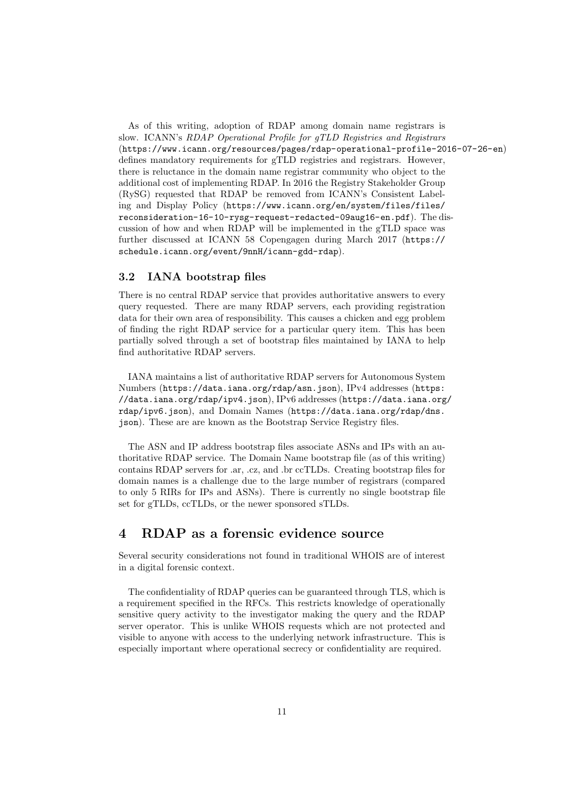As of this writing, adoption of RDAP among domain name registrars is slow. ICANN's RDAP Operational Profile for gTLD Registries and Registrars (https://www.icann.org/resources/pages/rdap-operational-profile-2016-07-26-en) defines mandatory requirements for gTLD registries and registrars. However, there is reluctance in the domain name registrar community who object to the additional cost of implementing RDAP. In 2016 the Registry Stakeholder Group (RySG) requested that RDAP be removed from ICANN's Consistent Labeling and Display Policy (https://www.icann.org/en/system/files/files/ reconsideration-16-10-rysg-request-redacted-09aug16-en.pdf). The discussion of how and when RDAP will be implemented in the gTLD space was further discussed at ICANN 58 Copengagen during March 2017 (https:// schedule.icann.org/event/9nnH/icann-gdd-rdap).

#### 3.2 IANA bootstrap files

There is no central RDAP service that provides authoritative answers to every query requested. There are many RDAP servers, each providing registration data for their own area of responsibility. This causes a chicken and egg problem of finding the right RDAP service for a particular query item. This has been partially solved through a set of bootstrap files maintained by IANA to help find authoritative RDAP servers.

IANA maintains a list of authoritative RDAP servers for Autonomous System Numbers (https://data.iana.org/rdap/asn.json), IPv4 addresses (https: //data.iana.org/rdap/ipv4.json), IPv6 addresses (https://data.iana.org/ rdap/ipv6.json), and Domain Names (https://data.iana.org/rdap/dns. json). These are are known as the Bootstrap Service Registry files.

The ASN and IP address bootstrap files associate ASNs and IPs with an authoritative RDAP service. The Domain Name bootstrap file (as of this writing) contains RDAP servers for .ar, .cz, and .br ccTLDs. Creating bootstrap files for domain names is a challenge due to the large number of registrars (compared to only 5 RIRs for IPs and ASNs). There is currently no single bootstrap file set for gTLDs, ccTLDs, or the newer sponsored sTLDs.

### 4 RDAP as a forensic evidence source

Several security considerations not found in traditional WHOIS are of interest in a digital forensic context.

The confidentiality of RDAP queries can be guaranteed through TLS, which is a requirement specified in the RFCs. This restricts knowledge of operationally sensitive query activity to the investigator making the query and the RDAP server operator. This is unlike WHOIS requests which are not protected and visible to anyone with access to the underlying network infrastructure. This is especially important where operational secrecy or confidentiality are required.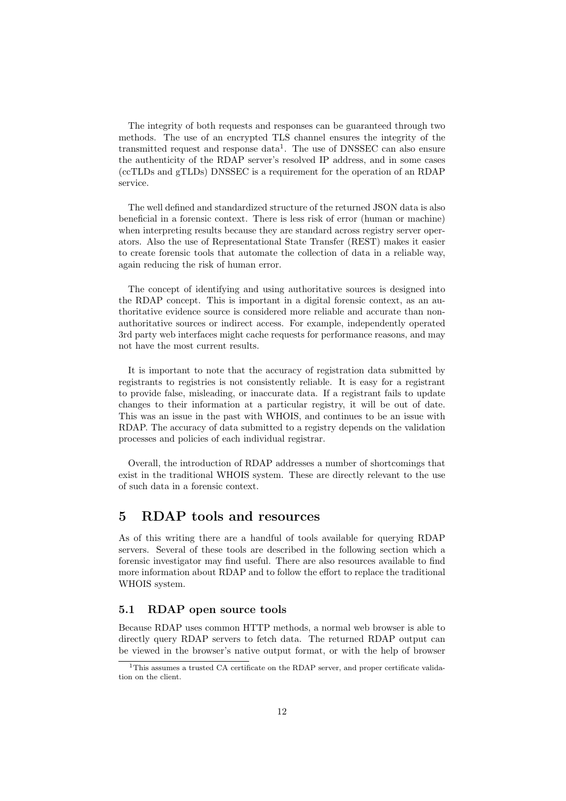The integrity of both requests and responses can be guaranteed through two methods. The use of an encrypted TLS channel ensures the integrity of the transmitted request and response data<sup>1</sup>. The use of DNSSEC can also ensure the authenticity of the RDAP server's resolved IP address, and in some cases (ccTLDs and gTLDs) DNSSEC is a requirement for the operation of an RDAP service.

The well defined and standardized structure of the returned JSON data is also beneficial in a forensic context. There is less risk of error (human or machine) when interpreting results because they are standard across registry server operators. Also the use of Representational State Transfer (REST) makes it easier to create forensic tools that automate the collection of data in a reliable way, again reducing the risk of human error.

The concept of identifying and using authoritative sources is designed into the RDAP concept. This is important in a digital forensic context, as an authoritative evidence source is considered more reliable and accurate than nonauthoritative sources or indirect access. For example, independently operated 3rd party web interfaces might cache requests for performance reasons, and may not have the most current results.

It is important to note that the accuracy of registration data submitted by registrants to registries is not consistently reliable. It is easy for a registrant to provide false, misleading, or inaccurate data. If a registrant fails to update changes to their information at a particular registry, it will be out of date. This was an issue in the past with WHOIS, and continues to be an issue with RDAP. The accuracy of data submitted to a registry depends on the validation processes and policies of each individual registrar.

Overall, the introduction of RDAP addresses a number of shortcomings that exist in the traditional WHOIS system. These are directly relevant to the use of such data in a forensic context.

## 5 RDAP tools and resources

As of this writing there are a handful of tools available for querying RDAP servers. Several of these tools are described in the following section which a forensic investigator may find useful. There are also resources available to find more information about RDAP and to follow the effort to replace the traditional WHOIS system.

#### 5.1 RDAP open source tools

Because RDAP uses common HTTP methods, a normal web browser is able to directly query RDAP servers to fetch data. The returned RDAP output can be viewed in the browser's native output format, or with the help of browser

<sup>&</sup>lt;sup>1</sup>This assumes a trusted CA certificate on the RDAP server, and proper certificate validation on the client.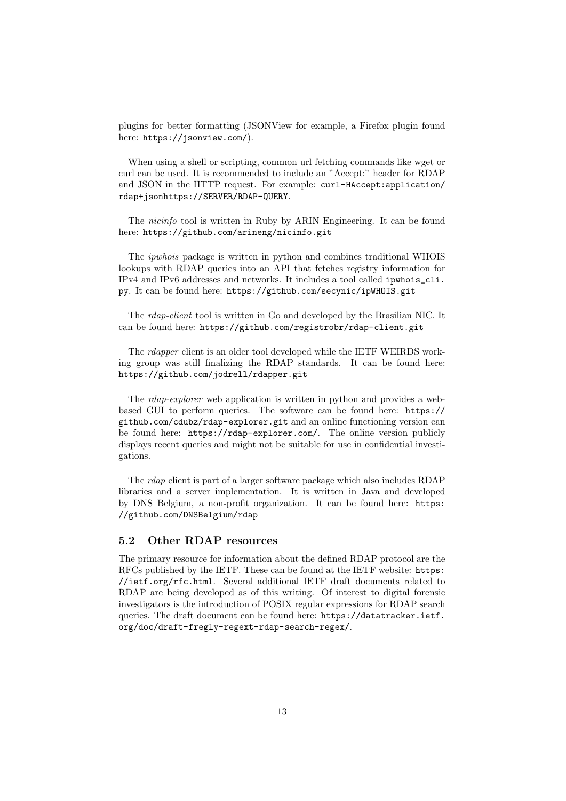plugins for better formatting (JSONView for example, a Firefox plugin found here: https://jsonview.com/).

When using a shell or scripting, common url fetching commands like wget or curl can be used. It is recommended to include an "Accept:" header for RDAP and JSON in the HTTP request. For example: curl-HAccept:application/ rdap+jsonhttps://SERVER/RDAP-QUERY.

The nicinfo tool is written in Ruby by ARIN Engineering. It can be found here: https://github.com/arineng/nicinfo.git

The ipwhois package is written in python and combines traditional WHOIS lookups with RDAP queries into an API that fetches registry information for IPv4 and IPv6 addresses and networks. It includes a tool called ipwhois\_cli. py. It can be found here: https://github.com/secynic/ipWHOIS.git

The rdap-client tool is written in Go and developed by the Brasilian NIC. It can be found here: https://github.com/registrobr/rdap-client.git

The rdapper client is an older tool developed while the IETF WEIRDS working group was still finalizing the RDAP standards. It can be found here: https://github.com/jodrell/rdapper.git

The *rdap-explorer* web application is written in python and provides a webbased GUI to perform queries. The software can be found here: https:// github.com/cdubz/rdap-explorer.git and an online functioning version can be found here: https://rdap-explorer.com/. The online version publicly displays recent queries and might not be suitable for use in confidential investigations.

The rdap client is part of a larger software package which also includes RDAP libraries and a server implementation. It is written in Java and developed by DNS Belgium, a non-profit organization. It can be found here: https: //github.com/DNSBelgium/rdap

### 5.2 Other RDAP resources

The primary resource for information about the defined RDAP protocol are the RFCs published by the IETF. These can be found at the IETF website: https: //ietf.org/rfc.html. Several additional IETF draft documents related to RDAP are being developed as of this writing. Of interest to digital forensic investigators is the introduction of POSIX regular expressions for RDAP search queries. The draft document can be found here: https://datatracker.ietf. org/doc/draft-fregly-regext-rdap-search-regex/.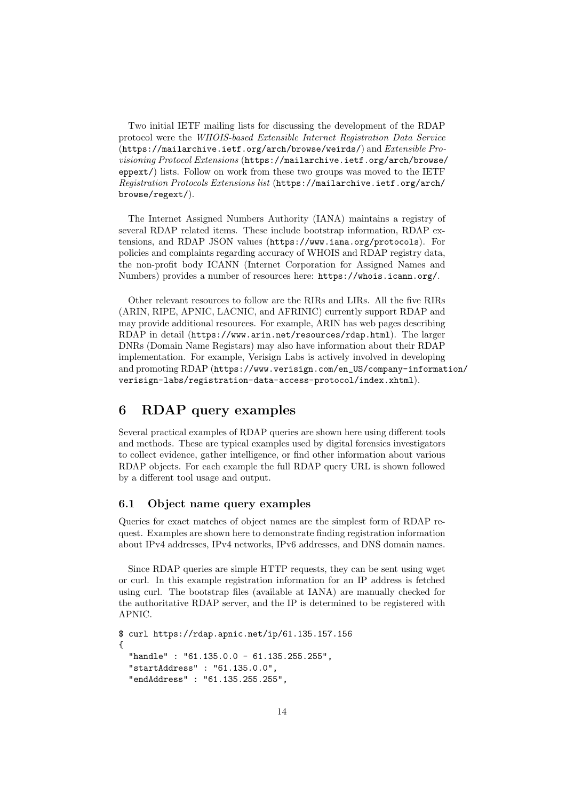Two initial IETF mailing lists for discussing the development of the RDAP protocol were the WHOIS-based Extensible Internet Registration Data Service (https://mailarchive.ietf.org/arch/browse/weirds/) and Extensible Provisioning Protocol Extensions (https://mailarchive.ietf.org/arch/browse/ eppext/) lists. Follow on work from these two groups was moved to the IETF Registration Protocols Extensions list (https://mailarchive.ietf.org/arch/ browse/regext/).

The Internet Assigned Numbers Authority (IANA) maintains a registry of several RDAP related items. These include bootstrap information, RDAP extensions, and RDAP JSON values (https://www.iana.org/protocols). For policies and complaints regarding accuracy of WHOIS and RDAP registry data, the non-profit body ICANN (Internet Corporation for Assigned Names and Numbers) provides a number of resources here: https://whois.icann.org/.

Other relevant resources to follow are the RIRs and LIRs. All the five RIRs (ARIN, RIPE, APNIC, LACNIC, and AFRINIC) currently support RDAP and may provide additional resources. For example, ARIN has web pages describing RDAP in detail (https://www.arin.net/resources/rdap.html). The larger DNRs (Domain Name Registars) may also have information about their RDAP implementation. For example, Verisign Labs is actively involved in developing and promoting RDAP (https://www.verisign.com/en\_US/company-information/ verisign-labs/registration-data-access-protocol/index.xhtml).

## 6 RDAP query examples

Several practical examples of RDAP queries are shown here using different tools and methods. These are typical examples used by digital forensics investigators to collect evidence, gather intelligence, or find other information about various RDAP objects. For each example the full RDAP query URL is shown followed by a different tool usage and output.

#### 6.1 Object name query examples

Queries for exact matches of object names are the simplest form of RDAP request. Examples are shown here to demonstrate finding registration information about IPv4 addresses, IPv4 networks, IPv6 addresses, and DNS domain names.

Since RDAP queries are simple HTTP requests, they can be sent using wget or curl. In this example registration information for an IP address is fetched using curl. The bootstrap files (available at IANA) are manually checked for the authoritative RDAP server, and the IP is determined to be registered with APNIC.

```
$ curl https://rdap.apnic.net/ip/61.135.157.156
{
  "handle" : "61.135.0.0 - 61.135.255.255",
  "startAddress" : "61.135.0.0",
  "endAddress" : "61.135.255.255",
```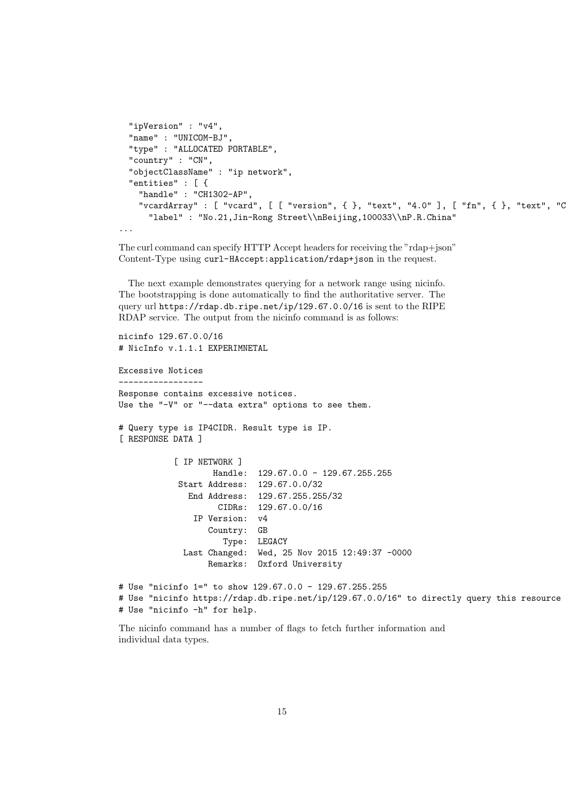```
"ipVersion" : "v4",
 "name" : "UNICOM-BJ",
 "type" : "ALLOCATED PORTABLE",
 "country" : "CN",
 "objectClassName" : "ip network",
 "entities" : [ {
   "handle" : "CH1302-AP",
   "vcardArray" : [ "vcard", [ [ "version", \{ }, "text", "4.0" ], [ "fn", \{ }, "text", "C"label" : "No.21,Jin-Rong Street\\nBeijing,100033\\nP.R.China"
...
```
The curl command can specify HTTP Accept headers for receiving the "rdap+json" Content-Type using curl-HAccept:application/rdap+json in the request.

The next example demonstrates querying for a network range using nicinfo. The bootstrapping is done automatically to find the authoritative server. The query url https://rdap.db.ripe.net/ip/129.67.0.0/16 is sent to the RIPE RDAP service. The output from the nicinfo command is as follows:

```
nicinfo 129.67.0.0/16
# NicInfo v.1.1.1 EXPERIMNETAL
Excessive Notices
-----------------
Response contains excessive notices.
Use the "-V" or "--data extra" options to see them.
# Query type is IP4CIDR. Result type is IP.
[ RESPONSE DATA ]
           [ IP NETWORK ]
                   Handle: 129.67.0.0 - 129.67.255.255
            Start Address: 129.67.0.0/32
             End Address: 129.67.255.255/32
                    CIDRs: 129.67.0.0/16
               IP Version: v4
                  Country: GB
                     Type: LEGACY
             Last Changed: Wed, 25 Nov 2015 12:49:37 -0000
                  Remarks: Oxford University
# Use "nicinfo 1=" to show 129.67.0.0 - 129.67.255.255
# Use "nicinfo https://rdap.db.ripe.net/ip/129.67.0.0/16" to directly query this resource
# Use "nicinfo -h" for help.
```
The nicinfo command has a number of flags to fetch further information and individual data types.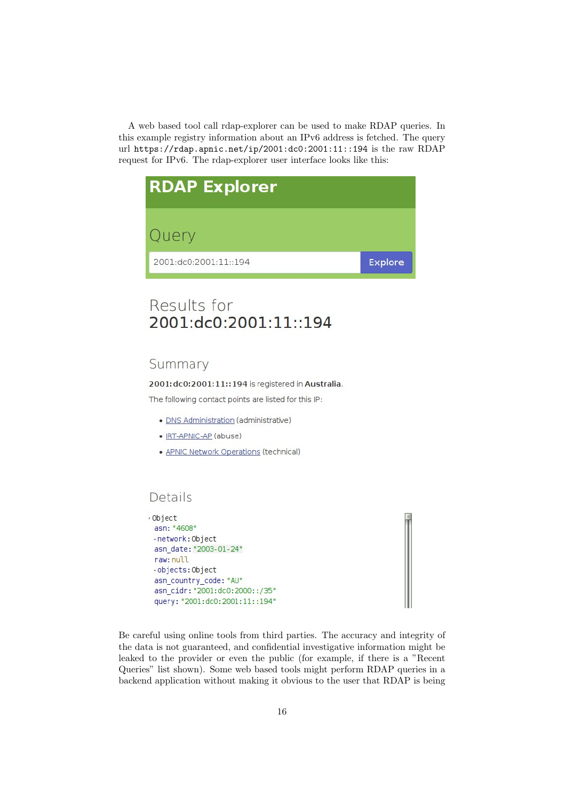A web based tool call rdap-explorer can be used to make RDAP queries. In this example registry information about an IPv6 address is fetched. The query url https://rdap.apnic.net/ip/2001:dc0:2001:11::194 is the raw RDAP request for IPv6. The rdap-explorer user interface looks like this:



# Results for 2001:dc0:2001:11::194

## Summary

2001: dc0: 2001: 11:: 194 is registered in Australia.

The following contact points are listed for this IP:

- · DNS Administration (administrative)
- IRT-APNIC-AP (abuse)
- APNIC Network Operations (technical)

# Details

```
· Object
 asn: "4608"
 -network: Object
 asn date: "2003-01-24"
 raw: null
 -objects: Object
 asn_country_code: "AU"
 asn_cidr: "2001:dc0:2000::/35"
 query: "2001:dc0:2001:11::194"
```
Be careful using online tools from third parties. The accuracy and integrity of the data is not guaranteed, and confidential investigative information might be leaked to the provider or even the public (for example, if there is a "Recent Queries" list shown). Some web based tools might perform RDAP queries in a backend application without making it obvious to the user that RDAP is being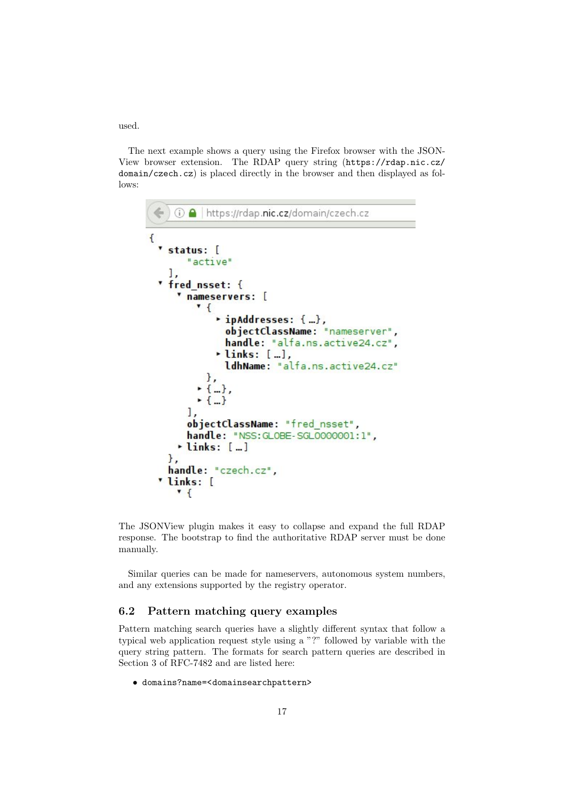used.

The next example shows a query using the Firefox browser with the JSON-View browser extension. The RDAP query string (https://rdap.nic.cz/ domain/czech.cz) is placed directly in the browser and then displayed as follows:

```
6 A https://rdap.nic.cz/domain/czech.cz
€
 " status: [
       "active"
   l,
 " fred_nsset: {
     " nameservers: [
         \cdot {
             * ipAddresses: {...},
               objectClassName: "nameserver",
               handle: "alfa.ns.active24.cz",
             \cdot links: [...],
              ldhName: "alfa.ns.active24.cz"
           },
         \cdot {...},
         -1 - 31,
       objectClassName: "fred nsset",
       handle: "NSS: GLOBE-SGLO000001:1",
     \cdot links: [...]
   },
   handle: "czech.cz",
 'links: [
     \cdot {
```
The JSONView plugin makes it easy to collapse and expand the full RDAP response. The bootstrap to find the authoritative RDAP server must be done manually.

Similar queries can be made for nameservers, autonomous system numbers, and any extensions supported by the registry operator.

#### 6.2 Pattern matching query examples

Pattern matching search queries have a slightly different syntax that follow a typical web application request style using a "?" followed by variable with the query string pattern. The formats for search pattern queries are described in Section 3 of RFC-7482 and are listed here:

• domains?name=<domainsearchpattern>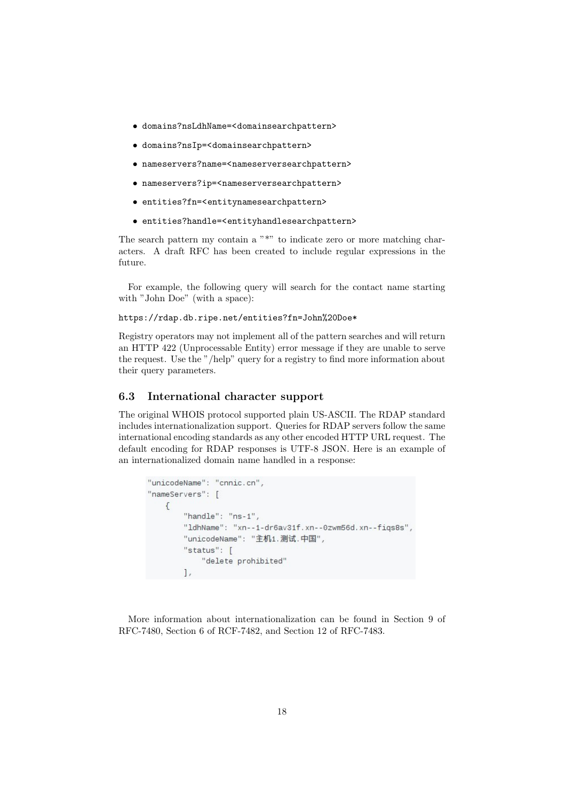- domains?nsLdhName=<domainsearchpattern>
- domains?nsIp=<domainsearchpattern>
- nameservers?name=<nameserversearchpattern>
- nameservers?ip=<nameserversearchpattern>
- entities?fn=<entitynamesearchpattern>
- entities?handle=<entityhandlesearchpattern>

The search pattern my contain a "\*" to indicate zero or more matching characters. A draft RFC has been created to include regular expressions in the future.

For example, the following query will search for the contact name starting with "John Doe" (with a space):

https://rdap.db.ripe.net/entities?fn=John%20Doe\*

Registry operators may not implement all of the pattern searches and will return an HTTP 422 (Unprocessable Entity) error message if they are unable to serve the request. Use the "/help" query for a registry to find more information about their query parameters.

#### 6.3 International character support

The original WHOIS protocol supported plain US-ASCII. The RDAP standard includes internationalization support. Queries for RDAP servers follow the same international encoding standards as any other encoded HTTP URL request. The default encoding for RDAP responses is UTF-8 JSON. Here is an example of an internationalized domain name handled in a response:

```
"unicodeName": "cnnic.cn",
"nameServers": [
    \left\{ \right."handle": "ns-1",
         "ldhName": "xn--1-dr6av31f.xn--0zwm56d.xn--fiqs8s",
         "unicodeName": "主机1.测试.中国",
         "status": [
             "delete prohibited"
        \mathbf{1},
```
More information about internationalization can be found in Section 9 of RFC-7480, Section 6 of RCF-7482, and Section 12 of RFC-7483.